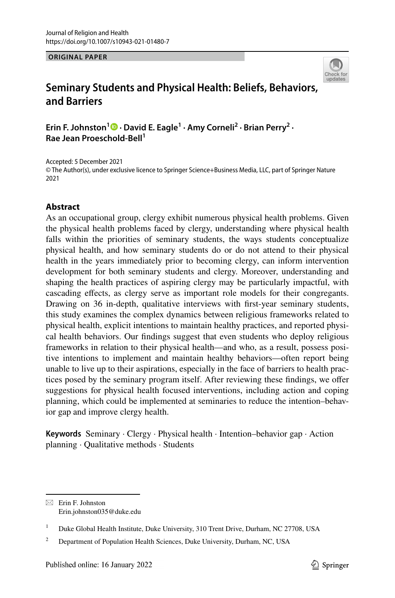#### **ORIGINAL PAPER**



# **Seminary Students and Physical Health: Beliefs, Behaviors, and Barriers**

ErinF. Johnston<sup>1</sup><sup>O</sup> · David E. Eagle<sup>1</sup> · Amy Corneli<sup>2</sup> · Brian Perry<sup>2</sup> · **Rae Jean Proeschold‑Bell1**

Accepted: 5 December 2021 © The Author(s), under exclusive licence to Springer Science+Business Media, LLC, part of Springer Nature 2021

## **Abstract**

As an occupational group, clergy exhibit numerous physical health problems. Given the physical health problems faced by clergy, understanding where physical health falls within the priorities of seminary students, the ways students conceptualize physical health, and how seminary students do or do not attend to their physical health in the years immediately prior to becoming clergy, can inform intervention development for both seminary students and clergy. Moreover, understanding and shaping the health practices of aspiring clergy may be particularly impactful, with cascading efects, as clergy serve as important role models for their congregants. Drawing on 36 in-depth, qualitative interviews with frst-year seminary students, this study examines the complex dynamics between religious frameworks related to physical health, explicit intentions to maintain healthy practices, and reported physical health behaviors. Our fndings suggest that even students who deploy religious frameworks in relation to their physical health—and who, as a result, possess positive intentions to implement and maintain healthy behaviors—often report being unable to live up to their aspirations, especially in the face of barriers to health practices posed by the seminary program itself. After reviewing these fndings, we ofer suggestions for physical health focused interventions, including action and coping planning, which could be implemented at seminaries to reduce the intention–behavior gap and improve clergy health.

**Keywords** Seminary · Clergy · Physical health · Intention–behavior gap · Action planning · Qualitative methods · Students

 $\boxtimes$  Erin F. Johnston Erin.johnston035@duke.edu

<sup>&</sup>lt;sup>1</sup> Duke Global Health Institute, Duke University, 310 Trent Drive, Durham, NC 27708, USA

<sup>&</sup>lt;sup>2</sup> Department of Population Health Sciences, Duke University, Durham, NC, USA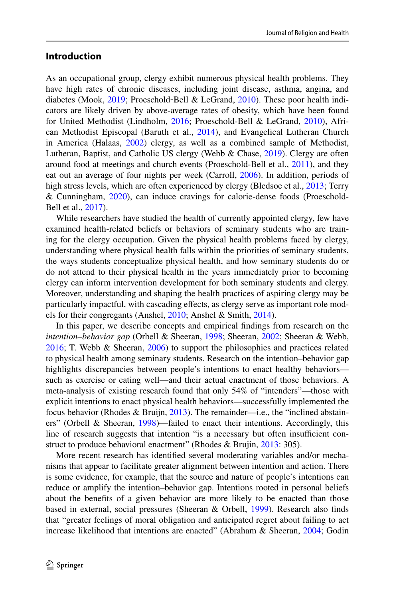## **Introduction**

As an occupational group, clergy exhibit numerous physical health problems. They have high rates of chronic diseases, including joint disease, asthma, angina, and diabetes (Mook, [2019;](#page-17-0) Proeschold‐Bell & LeGrand, [2010\)](#page-18-0). These poor health indicators are likely driven by above-average rates of obesity, which have been found for United Methodist (Lindholm, [2016](#page-17-1); Proeschold-Bell & LeGrand, [2010\)](#page-18-0), African Methodist Episcopal (Baruth et al., [2014\)](#page-17-2), and Evangelical Lutheran Church in America (Halaas, [2002](#page-17-3)) clergy, as well as a combined sample of Methodist, Lutheran, Baptist, and Catholic US clergy (Webb & Chase, [2019\)](#page-18-1). Clergy are often around food at meetings and church events (Proeschold-Bell et al., [2011\)](#page-18-2), and they eat out an average of four nights per week (Carroll, [2006](#page-17-4)). In addition, periods of high stress levels, which are often experienced by clergy (Bledsoe et al., [2013;](#page-17-5) Terry & Cunningham, [2020](#page-18-3)), can induce cravings for calorie-dense foods (Proeschold-Bell et al., [2017\)](#page-18-4).

While researchers have studied the health of currently appointed clergy, few have examined health-related beliefs or behaviors of seminary students who are training for the clergy occupation. Given the physical health problems faced by clergy, understanding where physical health falls within the priorities of seminary students, the ways students conceptualize physical health, and how seminary students do or do not attend to their physical health in the years immediately prior to becoming clergy can inform intervention development for both seminary students and clergy. Moreover, understanding and shaping the health practices of aspiring clergy may be particularly impactful, with cascading effects, as clergy serve as important role models for their congregants (Anshel, [2010;](#page-16-0) Anshel & Smith, [2014](#page-16-1)).

In this paper, we describe concepts and empirical fndings from research on the *intention–behavior gap* (Orbell & Sheeran, [1998;](#page-17-6) Sheeran, [2002](#page-18-5); Sheeran & Webb, [2016](#page-18-6); T. Webb & Sheeran, [2006](#page-18-7)) to support the philosophies and practices related to physical health among seminary students. Research on the intention–behavior gap highlights discrepancies between people's intentions to enact healthy behaviors such as exercise or eating well—and their actual enactment of those behaviors. A meta-analysis of existing research found that only 54% of "intenders"—those with explicit intentions to enact physical health behaviors—successfully implemented the focus behavior (Rhodes & Bruijn,  $2013$ ). The remainder—i.e., the "inclined abstainers" (Orbell & Sheeran, [1998\)](#page-17-6)—failed to enact their intentions. Accordingly, this line of research suggests that intention "is a necessary but often insufficient construct to produce behavioral enactment" (Rhodes & Brujin, [2013](#page-18-8): 305).

More recent research has identifed several moderating variables and/or mechanisms that appear to facilitate greater alignment between intention and action. There is some evidence, for example, that the source and nature of people's intentions can reduce or amplify the intention–behavior gap. Intentions rooted in personal beliefs about the benefts of a given behavior are more likely to be enacted than those based in external, social pressures (Sheeran & Orbell, [1999](#page-18-9)). Research also fnds that "greater feelings of moral obligation and anticipated regret about failing to act increase likelihood that intentions are enacted" (Abraham & Sheeran, [2004](#page-16-2); Godin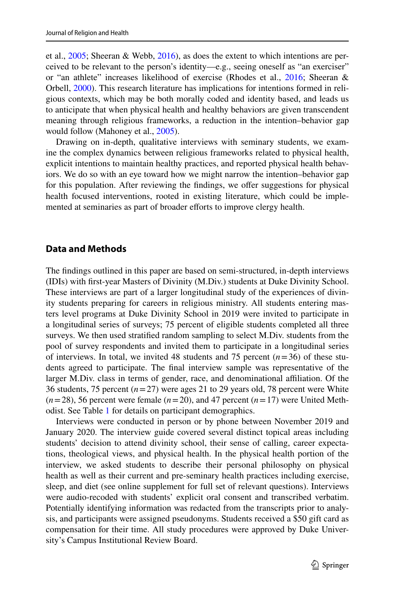et al., [2005;](#page-17-7) Sheeran & Webb, [2016](#page-18-6)), as does the extent to which intentions are perceived to be relevant to the person's identity—e.g., seeing oneself as "an exerciser" or "an athlete" increases likelihood of exercise (Rhodes et al., [2016](#page-18-10); Sheeran & Orbell, [2000\)](#page-18-11). This research literature has implications for intentions formed in religious contexts, which may be both morally coded and identity based, and leads us to anticipate that when physical health and healthy behaviors are given transcendent meaning through religious frameworks, a reduction in the intention–behavior gap would follow (Mahoney et al., [2005](#page-17-8)).

Drawing on in-depth, qualitative interviews with seminary students, we examine the complex dynamics between religious frameworks related to physical health, explicit intentions to maintain healthy practices, and reported physical health behaviors. We do so with an eye toward how we might narrow the intention–behavior gap for this population. After reviewing the findings, we offer suggestions for physical health focused interventions, rooted in existing literature, which could be implemented at seminaries as part of broader efforts to improve clergy health.

### **Data and Methods**

The fndings outlined in this paper are based on semi-structured, in-depth interviews (IDIs) with frst-year Masters of Divinity (M.Div.) students at Duke Divinity School. These interviews are part of a larger longitudinal study of the experiences of divinity students preparing for careers in religious ministry. All students entering masters level programs at Duke Divinity School in 2019 were invited to participate in a longitudinal series of surveys; 75 percent of eligible students completed all three surveys. We then used stratifed random sampling to select M.Div. students from the pool of survey respondents and invited them to participate in a longitudinal series of interviews. In total, we invited 48 students and 75 percent  $(n=36)$  of these students agreed to participate. The fnal interview sample was representative of the larger M.Div. class in terms of gender, race, and denominational affiliation. Of the 36 students, 75 percent (*n*=27) were ages 21 to 29 years old, 78 percent were White  $(n=28)$ , 56 percent were female  $(n=20)$ , and 47 percent  $(n=17)$  were United Methodist. See Table [1](#page-3-0) for details on participant demographics.

Interviews were conducted in person or by phone between November 2019 and January 2020. The interview guide covered several distinct topical areas including students' decision to attend divinity school, their sense of calling, career expectations, theological views, and physical health. In the physical health portion of the interview, we asked students to describe their personal philosophy on physical health as well as their current and pre-seminary health practices including exercise, sleep, and diet (see online supplement for full set of relevant questions). Interviews were audio-recoded with students' explicit oral consent and transcribed verbatim. Potentially identifying information was redacted from the transcripts prior to analysis, and participants were assigned pseudonyms. Students received a \$50 gift card as compensation for their time. All study procedures were approved by Duke University's Campus Institutional Review Board.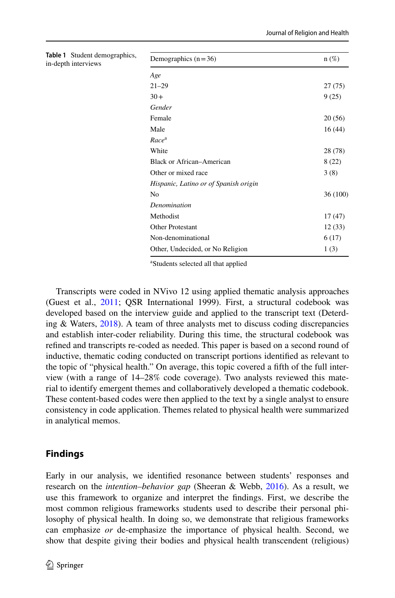<span id="page-3-0"></span>

| Table 1 Student demographics,<br>in-depth interviews | Demographics $(n=36)$                 | $n(\%)$  |
|------------------------------------------------------|---------------------------------------|----------|
|                                                      | Age                                   |          |
|                                                      | $21 - 29$                             | 27(75)   |
|                                                      | $30+$                                 | 9(25)    |
|                                                      | Gender                                |          |
|                                                      | Female                                | 20(56)   |
|                                                      | Male                                  | 16(44)   |
|                                                      | Race <sup>a</sup>                     |          |
|                                                      | White                                 | 28 (78)  |
|                                                      | <b>Black or African–American</b>      | 8(22)    |
|                                                      | Other or mixed race                   | 3(8)     |
|                                                      | Hispanic, Latino or of Spanish origin |          |
|                                                      | N <sub>o</sub>                        | 36 (100) |
|                                                      | Denomination                          |          |
|                                                      | Methodist                             | 17(47)   |
|                                                      | Other Protestant                      | 12(33)   |
|                                                      | Non-denominational                    | 6(17)    |
|                                                      | Other, Undecided, or No Religion      | 1(3)     |
|                                                      |                                       |          |

a Students selected all that applied

Transcripts were coded in NVivo 12 using applied thematic analysis approaches (Guest et al., [2011;](#page-17-9) QSR International 1999). First, a structural codebook was developed based on the interview guide and applied to the transcript text (Deterding & Waters, [2018](#page-17-10)). A team of three analysts met to discuss coding discrepancies and establish inter-coder reliability. During this time, the structural codebook was refned and transcripts re-coded as needed. This paper is based on a second round of inductive, thematic coding conducted on transcript portions identifed as relevant to the topic of "physical health." On average, this topic covered a ffth of the full interview (with a range of 14–28% code coverage). Two analysts reviewed this material to identify emergent themes and collaboratively developed a thematic codebook. These content-based codes were then applied to the text by a single analyst to ensure consistency in code application. Themes related to physical health were summarized in analytical memos.

## **Findings**

Early in our analysis, we identifed resonance between students' responses and research on the *intention–behavior gap* (Sheeran & Webb, [2016\)](#page-18-6). As a result, we use this framework to organize and interpret the fndings. First, we describe the most common religious frameworks students used to describe their personal philosophy of physical health. In doing so, we demonstrate that religious frameworks can emphasize *or* de-emphasize the importance of physical health. Second, we show that despite giving their bodies and physical health transcendent (religious)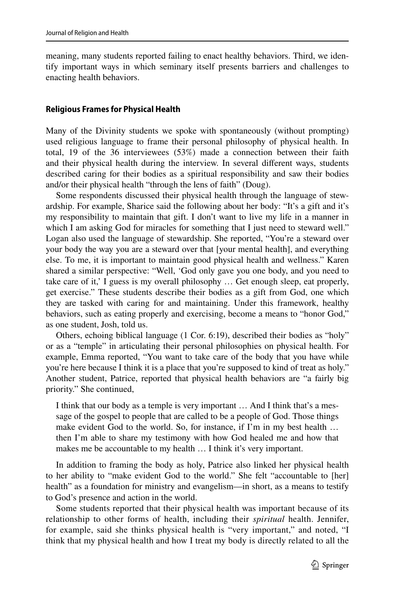meaning, many students reported failing to enact healthy behaviors. Third, we identify important ways in which seminary itself presents barriers and challenges to enacting health behaviors.

### **Religious Frames for Physical Health**

Many of the Divinity students we spoke with spontaneously (without prompting) used religious language to frame their personal philosophy of physical health. In total, 19 of the 36 interviewees (53%) made a connection between their faith and their physical health during the interview. In several diferent ways, students described caring for their bodies as a spiritual responsibility and saw their bodies and/or their physical health "through the lens of faith" (Doug).

Some respondents discussed their physical health through the language of stewardship. For example, Sharice said the following about her body: "It's a gift and it's my responsibility to maintain that gift. I don't want to live my life in a manner in which I am asking God for miracles for something that I just need to steward well." Logan also used the language of stewardship. She reported, "You're a steward over your body the way you are a steward over that [your mental health], and everything else. To me, it is important to maintain good physical health and wellness." Karen shared a similar perspective: "Well, 'God only gave you one body, and you need to take care of it,' I guess is my overall philosophy … Get enough sleep, eat properly, get exercise." These students describe their bodies as a gift from God, one which they are tasked with caring for and maintaining. Under this framework, healthy behaviors, such as eating properly and exercising, become a means to "honor God," as one student, Josh, told us.

Others, echoing biblical language (1 Cor. 6:19), described their bodies as "holy" or as a "temple" in articulating their personal philosophies on physical health. For example, Emma reported, "You want to take care of the body that you have while you're here because I think it is a place that you're supposed to kind of treat as holy." Another student, Patrice, reported that physical health behaviors are "a fairly big priority." She continued,

I think that our body as a temple is very important … And I think that's a message of the gospel to people that are called to be a people of God. Those things make evident God to the world. So, for instance, if I'm in my best health … then I'm able to share my testimony with how God healed me and how that makes me be accountable to my health ... I think it's very important.

In addition to framing the body as holy, Patrice also linked her physical health to her ability to "make evident God to the world." She felt "accountable to [her] health" as a foundation for ministry and evangelism—in short, as a means to testify to God's presence and action in the world.

Some students reported that their physical health was important because of its relationship to other forms of health, including their *spiritual* health. Jennifer, for example, said she thinks physical health is "very important," and noted, "I think that my physical health and how I treat my body is directly related to all the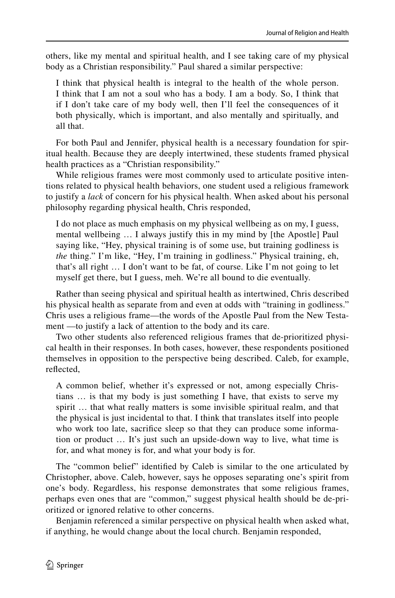others, like my mental and spiritual health, and I see taking care of my physical body as a Christian responsibility." Paul shared a similar perspective:

I think that physical health is integral to the health of the whole person. I think that I am not a soul who has a body. I am a body. So, I think that if I don't take care of my body well, then I'll feel the consequences of it both physically, which is important, and also mentally and spiritually, and all that.

For both Paul and Jennifer, physical health is a necessary foundation for spiritual health. Because they are deeply intertwined, these students framed physical health practices as a "Christian responsibility."

While religious frames were most commonly used to articulate positive intentions related to physical health behaviors, one student used a religious framework to justify a *lack* of concern for his physical health. When asked about his personal philosophy regarding physical health, Chris responded,

I do not place as much emphasis on my physical wellbeing as on my, I guess, mental wellbeing … I always justify this in my mind by [the Apostle] Paul saying like, "Hey, physical training is of some use, but training godliness is *the* thing." I'm like, "Hey, I'm training in godliness." Physical training, eh, that's all right … I don't want to be fat, of course. Like I'm not going to let myself get there, but I guess, meh. We're all bound to die eventually.

Rather than seeing physical and spiritual health as intertwined, Chris described his physical health as separate from and even at odds with "training in godliness." Chris uses a religious frame—the words of the Apostle Paul from the New Testament —to justify a lack of attention to the body and its care.

Two other students also referenced religious frames that de-prioritized physical health in their responses. In both cases, however, these respondents positioned themselves in opposition to the perspective being described. Caleb, for example, refected,

A common belief, whether it's expressed or not, among especially Christians … is that my body is just something I have, that exists to serve my spirit … that what really matters is some invisible spiritual realm, and that the physical is just incidental to that. I think that translates itself into people who work too late, sacrifce sleep so that they can produce some information or product … It's just such an upside-down way to live, what time is for, and what money is for, and what your body is for.

The "common belief" identifed by Caleb is similar to the one articulated by Christopher, above. Caleb, however, says he opposes separating one's spirit from one's body. Regardless, his response demonstrates that some religious frames, perhaps even ones that are "common," suggest physical health should be de-prioritized or ignored relative to other concerns.

Benjamin referenced a similar perspective on physical health when asked what, if anything, he would change about the local church. Benjamin responded,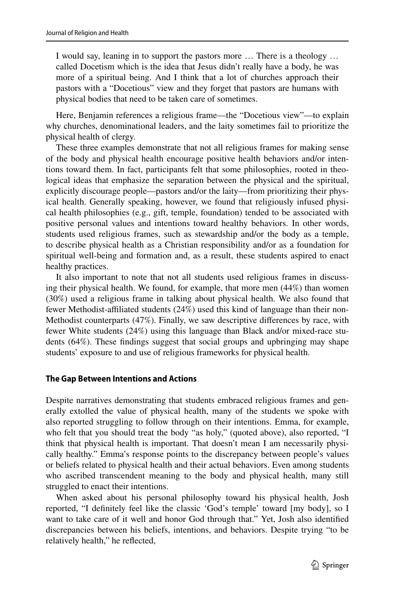I would say, leaning in to support the pastors more … There is a theology … called Docetism which is the idea that Jesus didn't really have a body, he was more of a spiritual being. And I think that a lot of churches approach their pastors with a "Docetious" view and they forget that pastors are humans with physical bodies that need to be taken care of sometimes.

Here, Benjamin references a religious frame—the "Docetious view"—to explain why churches, denominational leaders, and the laity sometimes fail to prioritize the physical health of clergy.

These three examples demonstrate that not all religious frames for making sense of the body and physical health encourage positive health behaviors and/or intentions toward them. In fact, participants felt that some philosophies, rooted in theological ideas that emphasize the separation between the physical and the spiritual, explicitly discourage people—pastors and/or the laity—from prioritizing their physical health. Generally speaking, however, we found that religiously infused physical health philosophies (e.g., gift, temple, foundation) tended to be associated with positive personal values and intentions toward healthy behaviors. In other words, students used religious frames, such as stewardship and/or the body as a temple, to describe physical health as a Christian responsibility and/or as a foundation for spiritual well-being and formation and, as a result, these students aspired to enact healthy practices.

It also important to note that not all students used religious frames in discussing their physical health. We found, for example, that more men (44%) than women (30%) used a religious frame in talking about physical health. We also found that fewer Methodist-afliated students (24%) used this kind of language than their non-Methodist counterparts (47%). Finally, we saw descriptive diferences by race, with fewer White students (24%) using this language than Black and/or mixed-race students (64%). These fndings suggest that social groups and upbringing may shape students' exposure to and use of religious frameworks for physical health.

### **The Gap Between Intentions and Actions**

Despite narratives demonstrating that students embraced religious frames and generally extolled the value of physical health, many of the students we spoke with also reported struggling to follow through on their intentions. Emma, for example, who felt that you should treat the body "as holy," (quoted above), also reported, "I think that physical health is important. That doesn't mean I am necessarily physically healthy." Emma's response points to the discrepancy between people's values or beliefs related to physical health and their actual behaviors. Even among students who ascribed transcendent meaning to the body and physical health, many still struggled to enact their intentions.

When asked about his personal philosophy toward his physical health, Josh reported, "I defnitely feel like the classic 'God's temple' toward [my body], so I want to take care of it well and honor God through that." Yet, Josh also identifed discrepancies between his beliefs, intentions, and behaviors. Despite trying "to be relatively health," he refected,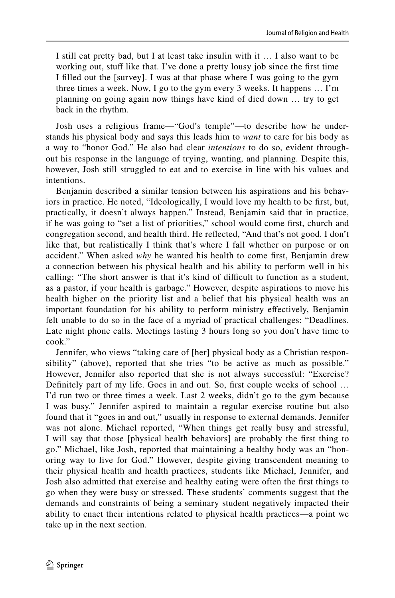I still eat pretty bad, but I at least take insulin with it … I also want to be working out, stuff like that. I've done a pretty lousy job since the first time I flled out the [survey]. I was at that phase where I was going to the gym three times a week. Now, I go to the gym every 3 weeks. It happens … I'm planning on going again now things have kind of died down … try to get back in the rhythm.

Josh uses a religious frame—"God's temple"—to describe how he understands his physical body and says this leads him to *want* to care for his body as a way to "honor God." He also had clear *intentions* to do so, evident throughout his response in the language of trying, wanting, and planning. Despite this, however, Josh still struggled to eat and to exercise in line with his values and intentions.

Benjamin described a similar tension between his aspirations and his behaviors in practice. He noted, "Ideologically, I would love my health to be frst, but, practically, it doesn't always happen." Instead, Benjamin said that in practice, if he was going to "set a list of priorities," school would come frst, church and congregation second, and health third. He refected, "And that's not good. I don't like that, but realistically I think that's where I fall whether on purpose or on accident." When asked *why* he wanted his health to come frst, Benjamin drew a connection between his physical health and his ability to perform well in his calling: "The short answer is that it's kind of difficult to function as a student, as a pastor, if your health is garbage." However, despite aspirations to move his health higher on the priority list and a belief that his physical health was an important foundation for his ability to perform ministry efectively, Benjamin felt unable to do so in the face of a myriad of practical challenges: "Deadlines. Late night phone calls. Meetings lasting 3 hours long so you don't have time to cook."

Jennifer, who views "taking care of [her] physical body as a Christian responsibility" (above), reported that she tries "to be active as much as possible." However, Jennifer also reported that she is not always successful: "Exercise? Definitely part of my life. Goes in and out. So, first couple weeks of school ... I'd run two or three times a week. Last 2 weeks, didn't go to the gym because I was busy." Jennifer aspired to maintain a regular exercise routine but also found that it "goes in and out," usually in response to external demands. Jennifer was not alone. Michael reported, "When things get really busy and stressful, I will say that those [physical health behaviors] are probably the frst thing to go." Michael, like Josh, reported that maintaining a healthy body was an "honoring way to live for God." However, despite giving transcendent meaning to their physical health and health practices, students like Michael, Jennifer, and Josh also admitted that exercise and healthy eating were often the frst things to go when they were busy or stressed. These students' comments suggest that the demands and constraints of being a seminary student negatively impacted their ability to enact their intentions related to physical health practices—a point we take up in the next section.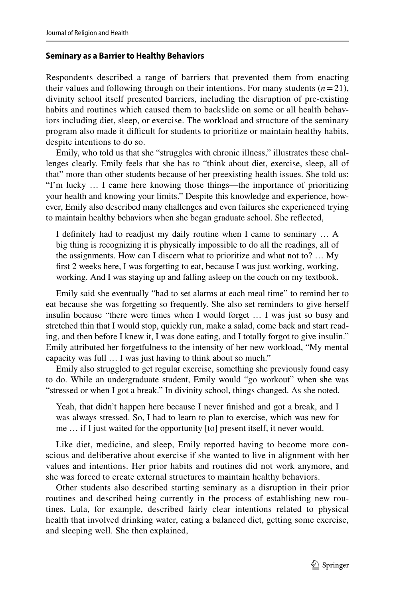## **Seminary as a Barrier to Healthy Behaviors**

Respondents described a range of barriers that prevented them from enacting their values and following through on their intentions. For many students  $(n=21)$ , divinity school itself presented barriers, including the disruption of pre-existing habits and routines which caused them to backslide on some or all health behaviors including diet, sleep, or exercise. The workload and structure of the seminary program also made it difcult for students to prioritize or maintain healthy habits, despite intentions to do so.

Emily, who told us that she "struggles with chronic illness," illustrates these challenges clearly. Emily feels that she has to "think about diet, exercise, sleep, all of that" more than other students because of her preexisting health issues. She told us: "I'm lucky … I came here knowing those things—the importance of prioritizing your health and knowing your limits." Despite this knowledge and experience, however, Emily also described many challenges and even failures she experienced trying to maintain healthy behaviors when she began graduate school. She refected,

I defnitely had to readjust my daily routine when I came to seminary … A big thing is recognizing it is physically impossible to do all the readings, all of the assignments. How can I discern what to prioritize and what not to? … My frst 2 weeks here, I was forgetting to eat, because I was just working, working, working. And I was staying up and falling asleep on the couch on my textbook.

Emily said she eventually "had to set alarms at each meal time" to remind her to eat because she was forgetting so frequently. She also set reminders to give herself insulin because "there were times when I would forget … I was just so busy and stretched thin that I would stop, quickly run, make a salad, come back and start reading, and then before I knew it, I was done eating, and I totally forgot to give insulin." Emily attributed her forgetfulness to the intensity of her new workload, "My mental capacity was full … I was just having to think about so much."

Emily also struggled to get regular exercise, something she previously found easy to do. While an undergraduate student, Emily would "go workout" when she was "stressed or when I got a break." In divinity school, things changed. As she noted,

Yeah, that didn't happen here because I never fnished and got a break, and I was always stressed. So, I had to learn to plan to exercise, which was new for me … if I just waited for the opportunity [to] present itself, it never would.

Like diet, medicine, and sleep, Emily reported having to become more conscious and deliberative about exercise if she wanted to live in alignment with her values and intentions. Her prior habits and routines did not work anymore, and she was forced to create external structures to maintain healthy behaviors.

Other students also described starting seminary as a disruption in their prior routines and described being currently in the process of establishing new routines. Lula, for example, described fairly clear intentions related to physical health that involved drinking water, eating a balanced diet, getting some exercise, and sleeping well. She then explained,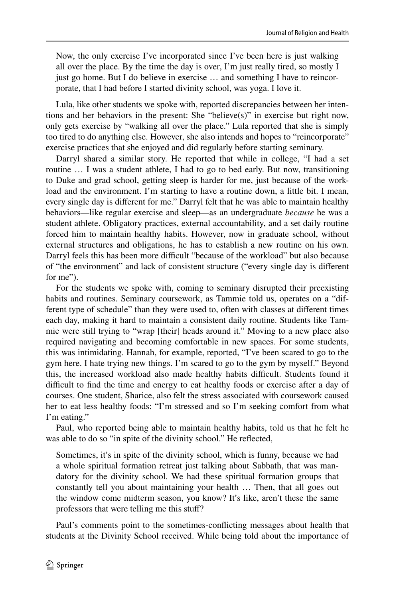Now, the only exercise I've incorporated since I've been here is just walking all over the place. By the time the day is over, I'm just really tired, so mostly I just go home. But I do believe in exercise … and something I have to reincorporate, that I had before I started divinity school, was yoga. I love it.

Lula, like other students we spoke with, reported discrepancies between her intentions and her behaviors in the present: She "believe(s)" in exercise but right now, only gets exercise by "walking all over the place." Lula reported that she is simply too tired to do anything else. However, she also intends and hopes to "reincorporate" exercise practices that she enjoyed and did regularly before starting seminary.

Darryl shared a similar story. He reported that while in college, "I had a set routine … I was a student athlete, I had to go to bed early. But now, transitioning to Duke and grad school, getting sleep is harder for me, just because of the workload and the environment. I'm starting to have a routine down, a little bit. I mean, every single day is diferent for me." Darryl felt that he was able to maintain healthy behaviors—like regular exercise and sleep—as an undergraduate *because* he was a student athlete. Obligatory practices, external accountability, and a set daily routine forced him to maintain healthy habits. However, now in graduate school, without external structures and obligations, he has to establish a new routine on his own. Darryl feels this has been more difficult "because of the workload" but also because of "the environment" and lack of consistent structure ("every single day is diferent for me").

For the students we spoke with, coming to seminary disrupted their preexisting habits and routines. Seminary coursework, as Tammie told us, operates on a "different type of schedule" than they were used to, often with classes at diferent times each day, making it hard to maintain a consistent daily routine. Students like Tammie were still trying to "wrap [their] heads around it." Moving to a new place also required navigating and becoming comfortable in new spaces. For some students, this was intimidating. Hannah, for example, reported, "I've been scared to go to the gym here. I hate trying new things. I'm scared to go to the gym by myself." Beyond this, the increased workload also made healthy habits difficult. Students found it difficult to find the time and energy to eat healthy foods or exercise after a day of courses. One student, Sharice, also felt the stress associated with coursework caused her to eat less healthy foods: "I'm stressed and so I'm seeking comfort from what I'm eating."

Paul, who reported being able to maintain healthy habits, told us that he felt he was able to do so "in spite of the divinity school." He refected,

Sometimes, it's in spite of the divinity school, which is funny, because we had a whole spiritual formation retreat just talking about Sabbath, that was mandatory for the divinity school. We had these spiritual formation groups that constantly tell you about maintaining your health … Then, that all goes out the window come midterm season, you know? It's like, aren't these the same professors that were telling me this stuf?

Paul's comments point to the sometimes-conficting messages about health that students at the Divinity School received. While being told about the importance of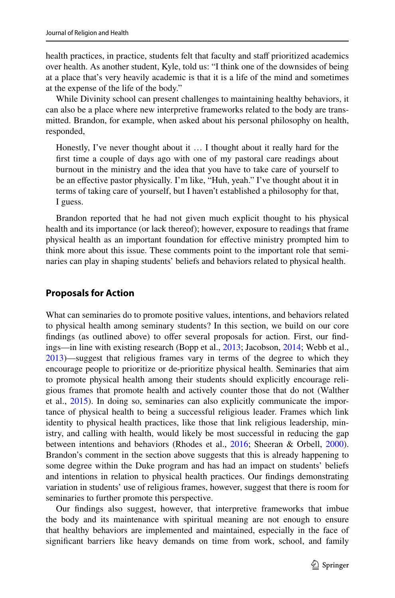health practices, in practice, students felt that faculty and staff prioritized academics over health. As another student, Kyle, told us: "I think one of the downsides of being at a place that's very heavily academic is that it is a life of the mind and sometimes at the expense of the life of the body."

While Divinity school can present challenges to maintaining healthy behaviors, it can also be a place where new interpretive frameworks related to the body are transmitted. Brandon, for example, when asked about his personal philosophy on health, responded,

Honestly, I've never thought about it … I thought about it really hard for the frst time a couple of days ago with one of my pastoral care readings about burnout in the ministry and the idea that you have to take care of yourself to be an efective pastor physically. I'm like, "Huh, yeah." I've thought about it in terms of taking care of yourself, but I haven't established a philosophy for that, I guess.

Brandon reported that he had not given much explicit thought to his physical health and its importance (or lack thereof); however, exposure to readings that frame physical health as an important foundation for efective ministry prompted him to think more about this issue. These comments point to the important role that seminaries can play in shaping students' beliefs and behaviors related to physical health.

## **Proposals for Action**

What can seminaries do to promote positive values, intentions, and behaviors related to physical health among seminary students? In this section, we build on our core findings (as outlined above) to offer several proposals for action. First, our findings—in line with existing research (Bopp et al., [2013](#page-17-11); Jacobson, [2014](#page-17-12); Webb et al., [2013](#page-18-12))—suggest that religious frames vary in terms of the degree to which they encourage people to prioritize or de-prioritize physical health. Seminaries that aim to promote physical health among their students should explicitly encourage religious frames that promote health and actively counter those that do not (Walther et al., [2015](#page-18-13)). In doing so, seminaries can also explicitly communicate the importance of physical health to being a successful religious leader. Frames which link identity to physical health practices, like those that link religious leadership, ministry, and calling with health, would likely be most successful in reducing the gap between intentions and behaviors (Rhodes et al., [2016](#page-18-10); Sheeran & Orbell, [2000\)](#page-18-11). Brandon's comment in the section above suggests that this is already happening to some degree within the Duke program and has had an impact on students' beliefs and intentions in relation to physical health practices. Our fndings demonstrating variation in students' use of religious frames, however, suggest that there is room for seminaries to further promote this perspective.

Our fndings also suggest, however, that interpretive frameworks that imbue the body and its maintenance with spiritual meaning are not enough to ensure that healthy behaviors are implemented and maintained, especially in the face of signifcant barriers like heavy demands on time from work, school, and family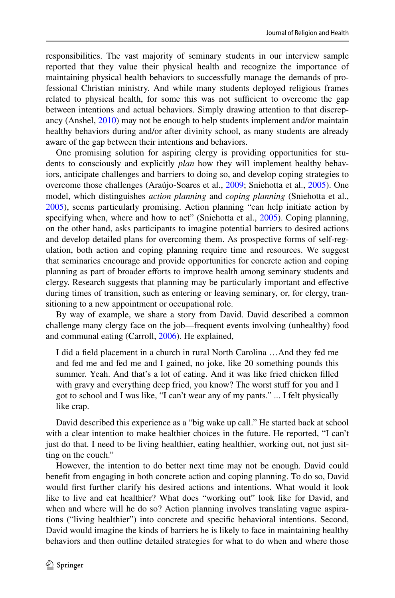responsibilities. The vast majority of seminary students in our interview sample reported that they value their physical health and recognize the importance of maintaining physical health behaviors to successfully manage the demands of professional Christian ministry. And while many students deployed religious frames related to physical health, for some this was not sufficient to overcome the gap between intentions and actual behaviors. Simply drawing attention to that discrepancy (Anshel, [2010](#page-16-0)) may not be enough to help students implement and/or maintain healthy behaviors during and/or after divinity school, as many students are already aware of the gap between their intentions and behaviors.

One promising solution for aspiring clergy is providing opportunities for students to consciously and explicitly *plan* how they will implement healthy behaviors, anticipate challenges and barriers to doing so, and develop coping strategies to overcome those challenges (Araújo-Soares et al., [2009](#page-16-3); Sniehotta et al., [2005\)](#page-18-14). One model, which distinguishes *action planning* and *coping planning* (Sniehotta et al., [2005](#page-18-14)), seems particularly promising. Action planning "can help initiate action by specifying when, where and how to act" (Sniehotta et al., [2005](#page-18-14)). Coping planning, on the other hand, asks participants to imagine potential barriers to desired actions and develop detailed plans for overcoming them. As prospective forms of self-regulation, both action and coping planning require time and resources. We suggest that seminaries encourage and provide opportunities for concrete action and coping planning as part of broader efforts to improve health among seminary students and clergy. Research suggests that planning may be particularly important and efective during times of transition, such as entering or leaving seminary, or, for clergy, transitioning to a new appointment or occupational role.

By way of example, we share a story from David. David described a common challenge many clergy face on the job—frequent events involving (unhealthy) food and communal eating (Carroll, [2006](#page-17-4)). He explained,

I did a feld placement in a church in rural North Carolina …And they fed me and fed me and fed me and I gained, no joke, like 20 something pounds this summer. Yeah. And that's a lot of eating. And it was like fried chicken flled with gravy and everything deep fried, you know? The worst stuff for you and I got to school and I was like, "I can't wear any of my pants." ... I felt physically like crap.

David described this experience as a "big wake up call." He started back at school with a clear intention to make healthier choices in the future. He reported, "I can't just do that. I need to be living healthier, eating healthier, working out, not just sitting on the couch."

However, the intention to do better next time may not be enough. David could beneft from engaging in both concrete action and coping planning. To do so, David would frst further clarify his desired actions and intentions. What would it look like to live and eat healthier? What does "working out" look like for David, and when and where will he do so? Action planning involves translating vague aspirations ("living healthier") into concrete and specifc behavioral intentions. Second, David would imagine the kinds of barriers he is likely to face in maintaining healthy behaviors and then outline detailed strategies for what to do when and where those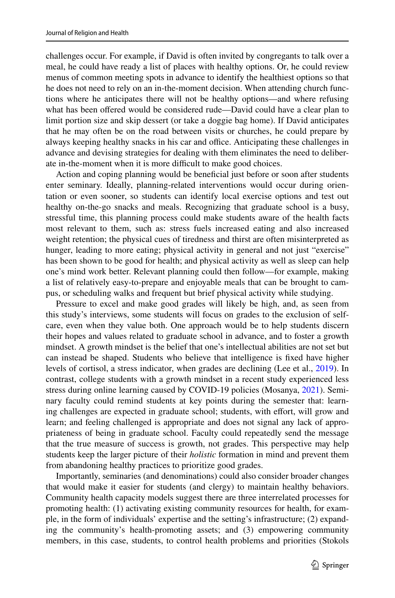challenges occur. For example, if David is often invited by congregants to talk over a meal, he could have ready a list of places with healthy options. Or, he could review menus of common meeting spots in advance to identify the healthiest options so that he does not need to rely on an in-the-moment decision. When attending church functions where he anticipates there will not be healthy options—and where refusing what has been offered would be considered rude—David could have a clear plan to limit portion size and skip dessert (or take a doggie bag home). If David anticipates that he may often be on the road between visits or churches, he could prepare by always keeping healthy snacks in his car and office. Anticipating these challenges in advance and devising strategies for dealing with them eliminates the need to deliberate in-the-moment when it is more difficult to make good choices.

Action and coping planning would be beneficial just before or soon after students enter seminary. Ideally, planning-related interventions would occur during orientation or even sooner, so students can identify local exercise options and test out healthy on-the-go snacks and meals. Recognizing that graduate school is a busy, stressful time, this planning process could make students aware of the health facts most relevant to them, such as: stress fuels increased eating and also increased weight retention; the physical cues of tiredness and thirst are often misinterpreted as hunger, leading to more eating; physical activity in general and not just "exercise" has been shown to be good for health; and physical activity as well as sleep can help one's mind work better. Relevant planning could then follow—for example, making a list of relatively easy-to-prepare and enjoyable meals that can be brought to campus, or scheduling walks and frequent but brief physical activity while studying.

Pressure to excel and make good grades will likely be high, and, as seen from this study's interviews, some students will focus on grades to the exclusion of selfcare, even when they value both. One approach would be to help students discern their hopes and values related to graduate school in advance, and to foster a growth mindset. A growth mindset is the belief that one's intellectual abilities are not set but can instead be shaped. Students who believe that intelligence is fxed have higher levels of cortisol, a stress indicator, when grades are declining (Lee et al., [2019](#page-17-13)). In contrast, college students with a growth mindset in a recent study experienced less stress during online learning caused by COVID-19 policies (Mosanya, [2021\)](#page-17-14). Seminary faculty could remind students at key points during the semester that: learning challenges are expected in graduate school; students, with effort, will grow and learn; and feeling challenged is appropriate and does not signal any lack of appropriateness of being in graduate school. Faculty could repeatedly send the message that the true measure of success is growth, not grades. This perspective may help students keep the larger picture of their *holistic* formation in mind and prevent them from abandoning healthy practices to prioritize good grades.

Importantly, seminaries (and denominations) could also consider broader changes that would make it easier for students (and clergy) to maintain healthy behaviors. Community health capacity models suggest there are three interrelated processes for promoting health: (1) activating existing community resources for health, for example, in the form of individuals' expertise and the setting's infrastructure; (2) expanding the community's health-promoting assets; and (3) empowering community members, in this case, students, to control health problems and priorities (Stokols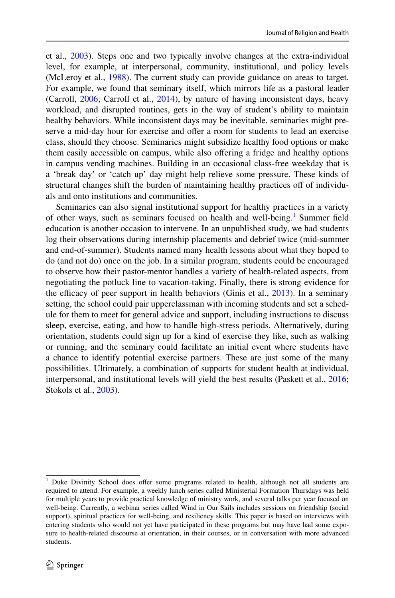et al., [2003](#page-18-15)). Steps one and two typically involve changes at the extra-individual level, for example, at interpersonal, community, institutional, and policy levels (McLeroy et al., [1988](#page-17-15)). The current study can provide guidance on areas to target. For example, we found that seminary itself, which mirrors life as a pastoral leader (Carroll, [2006](#page-17-4); Carroll et al., [2014\)](#page-17-16), by nature of having inconsistent days, heavy workload, and disrupted routines, gets in the way of student's ability to maintain healthy behaviors. While inconsistent days may be inevitable, seminaries might preserve a mid-day hour for exercise and offer a room for students to lead an exercise class, should they choose. Seminaries might subsidize healthy food options or make them easily accessible on campus, while also offering a fridge and healthy options in campus vending machines. Building in an occasional class-free weekday that is a 'break day' or 'catch up' day might help relieve some pressure. These kinds of structural changes shift the burden of maintaining healthy practices of of individuals and onto institutions and communities.

Seminaries can also signal institutional support for healthy practices in a variety of other ways, such as seminars focused on health and well-being.<sup>[1](#page-13-0)</sup> Summer field education is another occasion to intervene. In an unpublished study, we had students log their observations during internship placements and debrief twice (mid-summer and end-of-summer). Students named many health lessons about what they hoped to do (and not do) once on the job. In a similar program, students could be encouraged to observe how their pastor-mentor handles a variety of health-related aspects, from negotiating the potluck line to vacation-taking. Finally, there is strong evidence for the efficacy of peer support in health behaviors (Ginis et al.,  $2013$ ). In a seminary setting, the school could pair upperclassman with incoming students and set a schedule for them to meet for general advice and support, including instructions to discuss sleep, exercise, eating, and how to handle high-stress periods. Alternatively, during orientation, students could sign up for a kind of exercise they like, such as walking or running, and the seminary could facilitate an initial event where students have a chance to identify potential exercise partners. These are just some of the many possibilities. Ultimately, a combination of supports for student health at individual, interpersonal, and institutional levels will yield the best results (Paskett et al., [2016;](#page-17-18) Stokols et al., [2003\)](#page-18-15).

<span id="page-13-0"></span><sup>&</sup>lt;sup>1</sup> Duke Divinity School does offer some programs related to health, although not all students are required to attend. For example, a weekly lunch series called Ministerial Formation Thursdays was held for multiple years to provide practical knowledge of ministry work, and several talks per year focused on well-being. Currently, a webinar series called Wind in Our Sails includes sessions on friendship (social support), spiritual practices for well-being, and resiliency skills. This paper is based on interviews with entering students who would not yet have participated in these programs but may have had some exposure to health-related discourse at orientation, in their courses, or in conversation with more advanced students.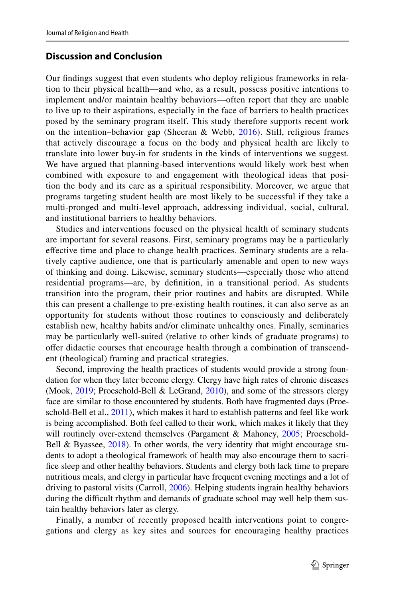# **Discussion and Conclusion**

Our fndings suggest that even students who deploy religious frameworks in relation to their physical health—and who, as a result, possess positive intentions to implement and/or maintain healthy behaviors—often report that they are unable to live up to their aspirations, especially in the face of barriers to health practices posed by the seminary program itself. This study therefore supports recent work on the intention–behavior gap (Sheeran & Webb,  $2016$ ). Still, religious frames that actively discourage a focus on the body and physical health are likely to translate into lower buy-in for students in the kinds of interventions we suggest. We have argued that planning-based interventions would likely work best when combined with exposure to and engagement with theological ideas that position the body and its care as a spiritual responsibility. Moreover, we argue that programs targeting student health are most likely to be successful if they take a multi-pronged and multi-level approach, addressing individual, social, cultural, and institutional barriers to healthy behaviors.

Studies and interventions focused on the physical health of seminary students are important for several reasons. First, seminary programs may be a particularly efective time and place to change health practices. Seminary students are a relatively captive audience, one that is particularly amenable and open to new ways of thinking and doing. Likewise, seminary students—especially those who attend residential programs—are, by defnition, in a transitional period. As students transition into the program, their prior routines and habits are disrupted. While this can present a challenge to pre-existing health routines, it can also serve as an opportunity for students without those routines to consciously and deliberately establish new, healthy habits and/or eliminate unhealthy ones. Finally, seminaries may be particularly well-suited (relative to other kinds of graduate programs) to ofer didactic courses that encourage health through a combination of transcendent (theological) framing and practical strategies.

Second, improving the health practices of students would provide a strong foundation for when they later become clergy. Clergy have high rates of chronic diseases (Mook, [2019;](#page-17-0) Proeschold-Bell & LeGrand, [2010\)](#page-18-0), and some of the stressors clergy face are similar to those encountered by students. Both have fragmented days (Proeschold-Bell et al., [2011\)](#page-18-2), which makes it hard to establish patterns and feel like work is being accomplished. Both feel called to their work, which makes it likely that they will routinely over-extend themselves (Pargament & Mahoney, [2005](#page-17-19); Proeschold-Bell & Byassee,  $2018$ ). In other words, the very identity that might encourage students to adopt a theological framework of health may also encourage them to sacrifce sleep and other healthy behaviors. Students and clergy both lack time to prepare nutritious meals, and clergy in particular have frequent evening meetings and a lot of driving to pastoral visits (Carroll, [2006](#page-17-4)). Helping students ingrain healthy behaviors during the difficult rhythm and demands of graduate school may well help them sustain healthy behaviors later as clergy.

Finally, a number of recently proposed health interventions point to congregations and clergy as key sites and sources for encouraging healthy practices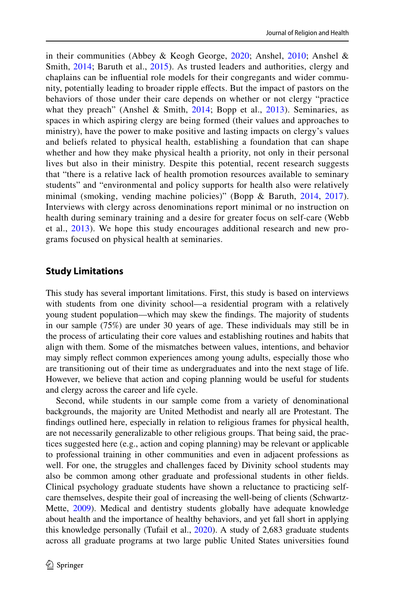in their communities (Abbey & Keogh George, [2020;](#page-16-4) Anshel, [2010;](#page-16-0) Anshel & Smith, [2014](#page-16-1); Baruth et al., [2015\)](#page-16-5). As trusted leaders and authorities, clergy and chaplains can be infuential role models for their congregants and wider community, potentially leading to broader ripple efects. But the impact of pastors on the behaviors of those under their care depends on whether or not clergy "practice what they preach" (Anshel & Smith, [2014](#page-16-1); Bopp et al., [2013\)](#page-17-11). Seminaries, as spaces in which aspiring clergy are being formed (their values and approaches to ministry), have the power to make positive and lasting impacts on clergy's values and beliefs related to physical health, establishing a foundation that can shape whether and how they make physical health a priority, not only in their personal lives but also in their ministry. Despite this potential, recent research suggests that "there is a relative lack of health promotion resources available to seminary students" and "environmental and policy supports for health also were relatively minimal (smoking, vending machine policies)" (Bopp & Baruth, [2014,](#page-17-20) [2017](#page-17-21)). Interviews with clergy across denominations report minimal or no instruction on health during seminary training and a desire for greater focus on self-care (Webb) et al., [2013\)](#page-18-12). We hope this study encourages additional research and new programs focused on physical health at seminaries.

## **Study Limitations**

This study has several important limitations. First, this study is based on interviews with students from one divinity school—a residential program with a relatively young student population—which may skew the fndings. The majority of students in our sample (75%) are under 30 years of age. These individuals may still be in the process of articulating their core values and establishing routines and habits that align with them. Some of the mismatches between values, intentions, and behavior may simply refect common experiences among young adults, especially those who are transitioning out of their time as undergraduates and into the next stage of life. However, we believe that action and coping planning would be useful for students and clergy across the career and life cycle.

Second, while students in our sample come from a variety of denominational backgrounds, the majority are United Methodist and nearly all are Protestant. The fndings outlined here, especially in relation to religious frames for physical health, are not necessarily generalizable to other religious groups. That being said, the practices suggested here (e.g., action and coping planning) may be relevant or applicable to professional training in other communities and even in adjacent professions as well. For one, the struggles and challenges faced by Divinity school students may also be common among other graduate and professional students in other felds. Clinical psychology graduate students have shown a reluctance to practicing selfcare themselves, despite their goal of increasing the well-being of clients (Schwartz-Mette, [2009](#page-18-17)). Medical and dentistry students globally have adequate knowledge about health and the importance of healthy behaviors, and yet fall short in applying this knowledge personally (Tufail et al., [2020](#page-18-18)). A study of 2,683 graduate students across all graduate programs at two large public United States universities found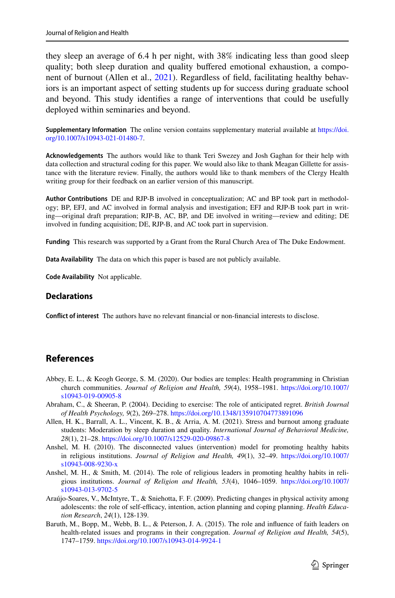they sleep an average of 6.4 h per night, with 38% indicating less than good sleep quality; both sleep duration and quality bufered emotional exhaustion, a component of burnout (Allen et al., [2021\)](#page-16-6). Regardless of feld, facilitating healthy behaviors is an important aspect of setting students up for success during graduate school and beyond. This study identifes a range of interventions that could be usefully deployed within seminaries and beyond.

**Supplementary Information** The online version contains supplementary material available at [https://doi.](https://doi.org/10.1007/s10943-021-01480-7) [org/10.1007/s10943-021-01480-7](https://doi.org/10.1007/s10943-021-01480-7).

**Acknowledgements** The authors would like to thank Teri Swezey and Josh Gaghan for their help with data collection and structural coding for this paper. We would also like to thank Meagan Gillette for assistance with the literature review. Finally, the authors would like to thank members of the Clergy Health writing group for their feedback on an earlier version of this manuscript.

**Author Contributions** DE and RJP-B involved in conceptualization; AC and BP took part in methodology; BP, EFJ, and AC involved in formal analysis and investigation; EFJ and RJP-B took part in writing—original draft preparation; RJP-B, AC, BP, and DE involved in writing—review and editing; DE involved in funding acquisition; DE, RJP-B, and AC took part in supervision.

**Funding** This research was supported by a Grant from the Rural Church Area of The Duke Endowment.

**Data Availability** The data on which this paper is based are not publicly available.

**Code Availability** Not applicable.

#### **Declarations**

**Confict of interest** The authors have no relevant fnancial or non-fnancial interests to disclose.

### **References**

- <span id="page-16-4"></span>Abbey, E. L., & Keogh George, S. M. (2020). Our bodies are temples: Health programming in Christian church communities. *Journal of Religion and Health, 59*(4), 1958–1981. [https://doi.org/10.1007/](https://doi.org/10.1007/s10943-019-00905-8) [s10943-019-00905-8](https://doi.org/10.1007/s10943-019-00905-8)
- <span id="page-16-2"></span>Abraham, C., & Sheeran, P. (2004). Deciding to exercise: The role of anticipated regret. *British Journal of Health Psychology, 9*(2), 269–278. <https://doi.org/10.1348/135910704773891096>
- <span id="page-16-6"></span>Allen, H. K., Barrall, A. L., Vincent, K. B., & Arria, A. M. (2021). Stress and burnout among graduate students: Moderation by sleep duration and quality. *International Journal of Behavioral Medicine, 28*(1), 21–28.<https://doi.org/10.1007/s12529-020-09867-8>
- <span id="page-16-0"></span>Anshel, M. H. (2010). The disconnected values (intervention) model for promoting healthy habits in religious institutions. *Journal of Religion and Health, 49*(1), 32–49. [https://doi.org/10.1007/](https://doi.org/10.1007/s10943-008-9230-x) [s10943-008-9230-x](https://doi.org/10.1007/s10943-008-9230-x)
- <span id="page-16-1"></span>Anshel, M. H., & Smith, M. (2014). The role of religious leaders in promoting healthy habits in religious institutions. *Journal of Religion and Health, 53*(4), 1046–1059. [https://doi.org/10.1007/](https://doi.org/10.1007/s10943-013-9702-5) [s10943-013-9702-5](https://doi.org/10.1007/s10943-013-9702-5)
- <span id="page-16-3"></span>Araújo-Soares, V., McIntyre, T., & Sniehotta, F. F. (2009). Predicting changes in physical activity among adolescents: the role of self-efficacy, intention, action planning and coping planning. *Health Education Research*, *24*(1), 128-139.
- <span id="page-16-5"></span>Baruth, M., Bopp, M., Webb, B. L., & Peterson, J. A. (2015). The role and infuence of faith leaders on health-related issues and programs in their congregation. *Journal of Religion and Health, 54*(5), 1747–1759.<https://doi.org/10.1007/s10943-014-9924-1>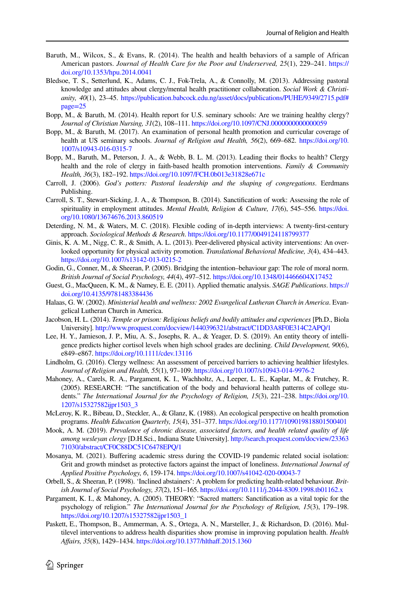- <span id="page-17-2"></span>Baruth, M., Wilcox, S., & Evans, R. (2014). The health and health behaviors of a sample of African American pastors. *Journal of Health Care for the Poor and Underserved, 25*(1), 229–241. [https://](https://doi.org/10.1353/hpu.2014.0041) [doi.org/10.1353/hpu.2014.0041](https://doi.org/10.1353/hpu.2014.0041)
- <span id="page-17-5"></span>Bledsoe, T. S., Setterlund, K., Adams, C. J., Fok-Trela, A., & Connolly, M. (2013). Addressing pastoral knowledge and attitudes about clergy/mental health practitioner collaboration. *Social Work & Christianity, 40*(1), 23–45. [https://publication.babcock.edu.ng/asset/docs/publications/PUHE/9349/2715.pdf#](https://publication.babcock.edu.ng/asset/docs/publications/PUHE/9349/2715.pdf#page=25) [page=25](https://publication.babcock.edu.ng/asset/docs/publications/PUHE/9349/2715.pdf#page=25)
- <span id="page-17-20"></span>Bopp, M., & Baruth, M. (2014). Health report for U.S. seminary schools: Are we training healthy clergy? *Journal of Christian Nursing, 31*(2), 108–111.<https://doi.org/10.1097/CNJ.0000000000000059>
- <span id="page-17-21"></span>Bopp, M., & Baruth, M. (2017). An examination of personal health promotion and curricular coverage of health at US seminary schools. *Journal of Religion and Health, 56*(2), 669–682. [https://doi.org/10.](https://doi.org/10.1007/s10943-016-0315-7) [1007/s10943-016-0315-7](https://doi.org/10.1007/s10943-016-0315-7)
- <span id="page-17-11"></span>Bopp, M., Baruth, M., Peterson, J. A., & Webb, B. L. M. (2013). Leading their focks to health? Clergy health and the role of clergy in faith-based health promotion interventions. *Family & Community Health, 36*(3), 182–192.<https://doi.org/10.1097/FCH.0b013e31828e671c>
- <span id="page-17-4"></span>Carroll, J. (2006). *God's potters: Pastoral leadership and the shaping of congregations*. Eerdmans Publishing.
- <span id="page-17-16"></span>Carroll, S. T., Stewart-Sicking, J. A., & Thompson, B. (2014). Sanctifcation of work: Assessing the role of spirituality in employment attitudes. *Mental Health, Religion & Culture, 17*(6), 545–556. [https://doi.](https://doi.org/10.1080/13674676.2013.860519) [org/10.1080/13674676.2013.860519](https://doi.org/10.1080/13674676.2013.860519)
- <span id="page-17-10"></span>Deterding, N. M., & Waters, M. C. (2018). Flexible coding of in-depth interviews: A twenty-frst-century approach. *Sociological Methods & Research*.<https://doi.org/10.1177/0049124118799377>
- <span id="page-17-17"></span>Ginis, K. A. M., Nigg, C. R., & Smith, A. L. (2013). Peer-delivered physical activity interventions: An overlooked opportunity for physical activity promotion. *Translational Behavioral Medicine, 3*(4), 434–443. <https://doi.org/10.1007/s13142-013-0215-2>
- <span id="page-17-7"></span>Godin, G., Conner, M., & Sheeran, P. (2005). Bridging the intention–behaviour gap: The role of moral norm. *British Journal of Social Psychology, 44*(4), 497–512.<https://doi.org/10.1348/014466604X17452>
- <span id="page-17-9"></span>Guest, G., MacQueen, K. M., & Namey, E. E. (2011). Applied thematic analysis. *SAGE Publications*. [https://](https://doi.org/10.4135/9781483384436) [doi.org/10.4135/9781483384436](https://doi.org/10.4135/9781483384436)
- <span id="page-17-3"></span>Halaas, G. W. (2002). *Ministerial health and wellness: 2002 Evangelical Lutheran Church in America*. Evangelical Lutheran Church in America.
- <span id="page-17-12"></span>Jacobson, H. L. (2014). *Temple or prison: Religious beliefs and bodily attitudes and experiences* [Ph.D., Biola University].<http://www.proquest.com/docview/1440396321/abstract/C1DD3A8F0E314C2APQ/1>
- <span id="page-17-13"></span>Lee, H. Y., Jamieson, J. P., Miu, A. S., Josephs, R. A., & Yeager, D. S. (2019). An entity theory of intelligence predicts higher cortisol levels when high school grades are declining. *Child Development, 90*(6), e849–e867.<https://doi.org/10.1111/cdev.13116>
- <span id="page-17-1"></span>Lindholm, G. (2016). Clergy wellness: An assessment of perceived barriers to achieving healthier lifestyles. *Journal of Religion and Health, 55*(1), 97–109.<https://doi.org/10.1007/s10943-014-9976-2>
- <span id="page-17-8"></span>Mahoney, A., Carels, R. A., Pargament, K. I., Wachholtz, A., Leeper, L. E., Kaplar, M., & Frutchey, R. (2005). RESEARCH: "The sanctifcation of the body and behavioral health patterns of college students." *The International Journal for the Psychology of Religion, 15*(3), 221–238. [https://doi.org/10.](https://doi.org/10.1207/s15327582ijpr1503_3) [1207/s15327582ijpr1503\\_3](https://doi.org/10.1207/s15327582ijpr1503_3)
- <span id="page-17-15"></span>McLeroy, K. R., Bibeau, D., Steckler, A., & Glanz, K. (1988). An ecological perspective on health promotion programs. *Health Education Quarterly, 15*(4), 351–377.<https://doi.org/10.1177/109019818801500401>
- <span id="page-17-0"></span>Mook, A. M. (2019). *Prevalence of chronic disease, associated factors, and health related quality of life among wesleyan clergy* [D.H.Sci., Indiana State University]. [http://search.proquest.com/docview/23363](http://search.proquest.com/docview/2336371030/abstract/CF0C88DC51C6478EPQ/1) [71030/abstract/CF0C88DC51C6478EPQ/1](http://search.proquest.com/docview/2336371030/abstract/CF0C88DC51C6478EPQ/1)
- <span id="page-17-14"></span>Mosanya, M. (2021). Bufering academic stress during the COVID-19 pandemic related social isolation: Grit and growth mindset as protective factors against the impact of loneliness. *International Journal of Applied Positive Psychology, 6*, 159-174. <https://doi.org/10.1007/s41042-020-00043-7>
- <span id="page-17-6"></span>Orbell, S., & Sheeran, P. (1998). 'Inclined abstainers': A problem for predicting health-related behaviour. *British Journal of Social Psychology, 37*(2), 151–165.<https://doi.org/10.1111/j.2044-8309.1998.tb01162.x>
- <span id="page-17-19"></span>Pargament, K. I., & Mahoney, A. (2005). THEORY: "Sacred matters: Sanctifcation as a vital topic for the psychology of religion." *The International Journal for the Psychology of Religion, 15*(3), 179–198. [https://doi.org/10.1207/s15327582ijpr1503\\_1](https://doi.org/10.1207/s15327582ijpr1503_1)
- <span id="page-17-18"></span>Paskett, E., Thompson, B., Ammerman, A. S., Ortega, A. N., Marsteller, J., & Richardson, D. (2016). Multilevel interventions to address health disparities show promise in improving population health. *Health Afairs, 35*(8), 1429–1434. [https://doi.org/10.1377/hlthaf.2015.1360](https://doi.org/10.1377/hlthaff.2015.1360)